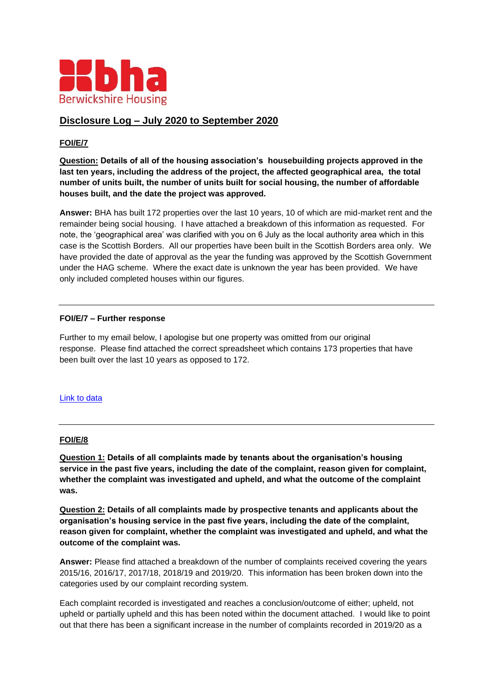

# **Disclosure Log – July 2020 to September 2020**

# **FOI/E/7**

**Question: Details of all of the housing association's housebuilding projects approved in the last ten years, including the address of the project, the affected geographical area, the total number of units built, the number of units built for social housing, the number of affordable houses built, and the date the project was approved.** 

**Answer:** BHA has built 172 properties over the last 10 years, 10 of which are mid-market rent and the remainder being social housing. I have attached a breakdown of this information as requested. For note, the 'geographical area' was clarified with you on 6 July as the local authority area which in this case is the Scottish Borders. All our properties have been built in the Scottish Borders area only. We have provided the date of approval as the year the funding was approved by the Scottish Government under the HAG scheme. Where the exact date is unknown the year has been provided. We have only included completed houses within our figures.

### **FOI/E/7 – Further response**

Further to my email below, I apologise but one property was omitted from our original response. Please find attached the correct spreadsheet which contains 173 properties that have been built over the last 10 years as opposed to 172.

#### [Link to data](https://www.berwickshirehousing.org.uk/wp-content/uploads/2021/09/FOI-E-7.pdf)

### **FOI/E/8**

**Question 1: Details of all complaints made by tenants about the organisation's housing service in the past five years, including the date of the complaint, reason given for complaint, whether the complaint was investigated and upheld, and what the outcome of the complaint was.** 

**Question 2: Details of all complaints made by prospective tenants and applicants about the organisation's housing service in the past five years, including the date of the complaint, reason given for complaint, whether the complaint was investigated and upheld, and what the outcome of the complaint was.** 

**Answer:** Please find attached a breakdown of the number of complaints received covering the years 2015/16, 2016/17, 2017/18, 2018/19 and 2019/20. This information has been broken down into the categories used by our complaint recording system.

Each complaint recorded is investigated and reaches a conclusion/outcome of either; upheld, not upheld or partially upheld and this has been noted within the document attached. I would like to point out that there has been a significant increase in the number of complaints recorded in 2019/20 as a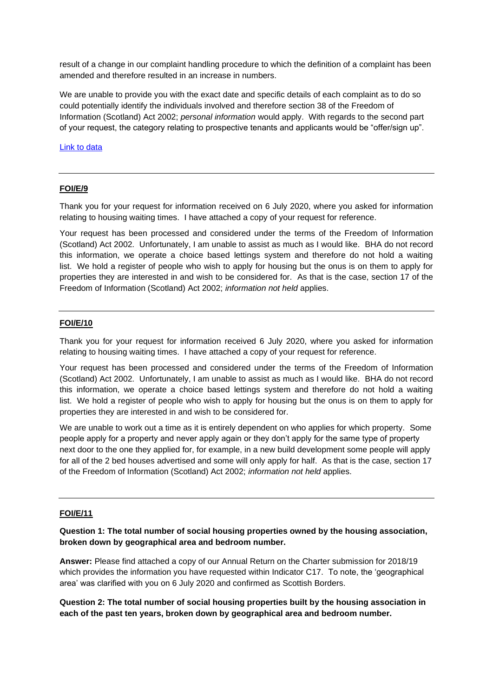result of a change in our complaint handling procedure to which the definition of a complaint has been amended and therefore resulted in an increase in numbers.

We are unable to provide you with the exact date and specific details of each complaint as to do so could potentially identify the individuals involved and therefore section 38 of the Freedom of Information (Scotland) Act 2002; *personal information* would apply. With regards to the second part of your request, the category relating to prospective tenants and applicants would be "offer/sign up".

[Link to data](https://www.berwickshirehousing.org.uk/wp-content/uploads/2021/09/FOI-E-8.pdf)

#### **FOI/E/9**

Thank you for your request for information received on 6 July 2020, where you asked for information relating to housing waiting times. I have attached a copy of your request for reference.

Your request has been processed and considered under the terms of the Freedom of Information (Scotland) Act 2002*.* Unfortunately, I am unable to assist as much as I would like. BHA do not record this information, we operate a choice based lettings system and therefore do not hold a waiting list. We hold a register of people who wish to apply for housing but the onus is on them to apply for properties they are interested in and wish to be considered for. As that is the case, section 17 of the Freedom of Information (Scotland) Act 2002; *information not held* applies.

#### **FOI/E/10**

Thank you for your request for information received 6 July 2020, where you asked for information relating to housing waiting times. I have attached a copy of your request for reference.

Your request has been processed and considered under the terms of the Freedom of Information (Scotland) Act 2002*.* Unfortunately, I am unable to assist as much as I would like. BHA do not record this information, we operate a choice based lettings system and therefore do not hold a waiting list. We hold a register of people who wish to apply for housing but the onus is on them to apply for properties they are interested in and wish to be considered for.

We are unable to work out a time as it is entirely dependent on who applies for which property. Some people apply for a property and never apply again or they don't apply for the same type of property next door to the one they applied for, for example, in a new build development some people will apply for all of the 2 bed houses advertised and some will only apply for half. As that is the case, section 17 of the Freedom of Information (Scotland) Act 2002; *information not held* applies.

#### **FOI/E/11**

**Question 1: The total number of social housing properties owned by the housing association, broken down by geographical area and bedroom number.**

**Answer:** Please find attached a copy of our Annual Return on the Charter submission for 2018/19 which provides the information you have requested within Indicator C17. To note, the 'geographical area' was clarified with you on 6 July 2020 and confirmed as Scottish Borders.

**Question 2: The total number of social housing properties built by the housing association in each of the past ten years, broken down by geographical area and bedroom number.**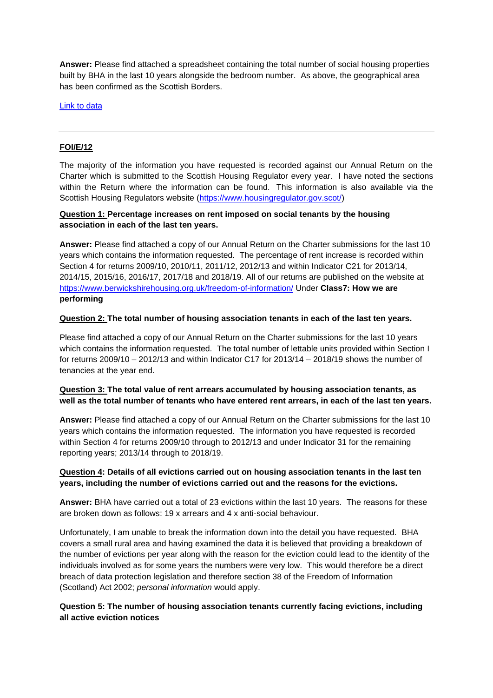**Answer:** Please find attached a spreadsheet containing the total number of social housing properties built by BHA in the last 10 years alongside the bedroom number. As above, the geographical area has been confirmed as the Scottish Borders.

[Link to data](https://www.berwickshirehousing.org.uk/wp-content/uploads/2021/09/FOI-E-11.pdf)

### **FOI/E/12**

The majority of the information you have requested is recorded against our Annual Return on the Charter which is submitted to the Scottish Housing Regulator every year. I have noted the sections within the Return where the information can be found. This information is also available via the Scottish Housing Regulators website [\(https://www.housingregulator.gov.scot/\)](https://www.housingregulator.gov.scot/)

# **Question 1: Percentage increases on rent imposed on social tenants by the housing association in each of the last ten years.**

**Answer:** Please find attached a copy of our Annual Return on the Charter submissions for the last 10 years which contains the information requested. The percentage of rent increase is recorded within Section 4 for returns 2009/10, 2010/11, 2011/12, 2012/13 and within Indicator C21 for 2013/14, 2014/15, 2015/16, 2016/17, 2017/18 and 2018/19. All of our returns are published on the website at <https://www.berwickshirehousing.org.uk/freedom-of-information/> Under **Class7: How we are performing**

### **Question 2: The total number of housing association tenants in each of the last ten years.**

Please find attached a copy of our Annual Return on the Charter submissions for the last 10 years which contains the information requested. The total number of lettable units provided within Section I for returns 2009/10 – 2012/13 and within Indicator C17 for 2013/14 – 2018/19 shows the number of tenancies at the year end.

# **Question 3: The total value of rent arrears accumulated by housing association tenants, as well as the total number of tenants who have entered rent arrears, in each of the last ten years.**

**Answer:** Please find attached a copy of our Annual Return on the Charter submissions for the last 10 years which contains the information requested. The information you have requested is recorded within Section 4 for returns 2009/10 through to 2012/13 and under Indicator 31 for the remaining reporting years; 2013/14 through to 2018/19.

### **Question 4: Details of all evictions carried out on housing association tenants in the last ten years, including the number of evictions carried out and the reasons for the evictions.**

**Answer:** BHA have carried out a total of 23 evictions within the last 10 years. The reasons for these are broken down as follows: 19 x arrears and 4 x anti-social behaviour.

Unfortunately, I am unable to break the information down into the detail you have requested. BHA covers a small rural area and having examined the data it is believed that providing a breakdown of the number of evictions per year along with the reason for the eviction could lead to the identity of the individuals involved as for some years the numbers were very low. This would therefore be a direct breach of data protection legislation and therefore section 38 of the Freedom of Information (Scotland) Act 2002; *personal information* would apply.

### **Question 5: The number of housing association tenants currently facing evictions, including all active eviction notices**